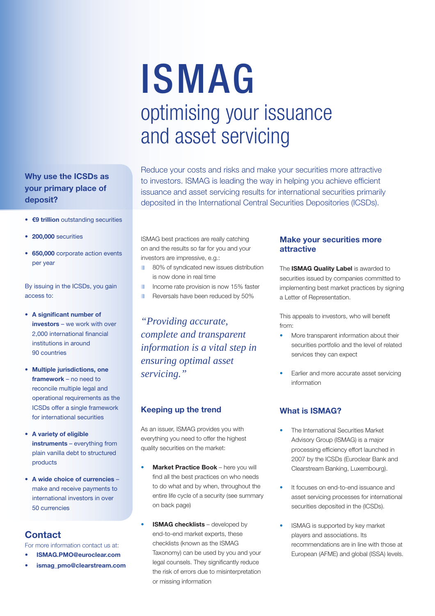# ISMAG optimising your issuance and asset servicing

Reduce your costs and risks and make your securities more attractive to investors. ISMAG is leading the way in helping you achieve efficient issuance and asset servicing results for international securities primarily deposited in the International Central Securities Depositories (ICSDs).

**• €9 trillion** outstanding securities

**Why use the ICSDs as your primary place of** 

**• 200,000** securities

**deposit?** 

**• 650,000** corporate action events per year

By issuing in the ICSDs, you gain access to:

- **A significant number of investors** – we work with over 2,000 international financial institutions in around 90 countries
- **Multiple jurisdictions, one framework** – no need to reconcile multiple legal and operational requirements as the ICSDs offer a single framework for international securities
- **A variety of eligible instruments** – everything from plain vanilla debt to structured products
- **A wide choice of currencies** make and receive payments to international investors in over 50 currencies

### **Contact**

For more information contact us at:

- **ISMAG.PMO@euroclear.com**
- **ismag\_pmo@clearstream.com**

ISMAG best practices are really catching on and the results so far for you and your investors are impressive, e.g.:

- 80% of syndicated new issues distribution is now done in real time
- Income rate provision is now 15% faster
- Reversals have been reduced by 50%

*"Providing accurate, complete and transparent information is a vital step in ensuring optimal asset servicing."*

#### **Keeping up the trend**

As an issuer, ISMAG provides you with everything you need to offer the highest quality securities on the market:

- **Market Practice Book** here you will find all the best practices on who needs to do what and by when, throughout the entire life cycle of a security (see summary on back page)
- **ISMAG checklists** developed by end-to-end market experts, these checklists (known as the ISMAG Taxonomy) can be used by you and your legal counsels. They significantly reduce the risk of errors due to misinterpretation or missing information

#### **Make your securities more attractive**

The **ISMAG Quality Label** is awarded to securities issued by companies committed to implementing best market practices by signing a Letter of Representation.

This appeals to investors, who will benefit from:

- More transparent information about their securities portfolio and the level of related services they can expect
- Earlier and more accurate asset servicing information

#### **What is ISMAG?**

- The International Securities Market Advisory Group (ISMAG) is a major processing efficiency effort launched in 2007 by the ICSDs (Euroclear Bank and Clearstream Banking, Luxembourg).
- It focuses on end-to-end issuance and asset servicing processes for international securities deposited in the (ICSDs).
- ISMAG is supported by key market players and associations. Its recommendations are in line with those at European (AFME) and global (ISSA) levels.